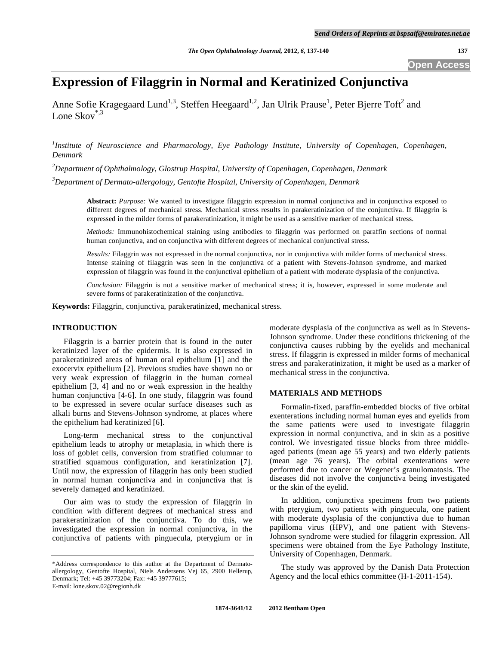# **Expression of Filaggrin in Normal and Keratinized Conjunctiva**

Anne Sofie Kragegaard Lund<sup>1,3</sup>, Steffen Heegaard<sup>1,2</sup>, Jan Ulrik Prause<sup>1</sup>, Peter Bjerre Toft<sup>2</sup> and Lone Skov<sup>\*,3</sup>

<sup>1</sup>Institute of Neuroscience and Pharmacology, Eye Pathology Institute, University of Copenhagen, Copenhagen, *Denmark* 

*2 Department of Ophthalmology, Glostrup Hospital, University of Copenhagen, Copenhagen, Denmark* 

*3 Department of Dermato-allergology, Gentofte Hospital, University of Copenhagen, Denmark* 

**Abstract:** *Purpose:* We wanted to investigate filaggrin expression in normal conjunctiva and in conjunctiva exposed to different degrees of mechanical stress. Mechanical stress results in parakeratinization of the conjunctiva. If filaggrin is expressed in the milder forms of parakeratinization, it might be used as a sensitive marker of mechanical stress.

*Methods:* Immunohistochemical staining using antibodies to filaggrin was performed on paraffin sections of normal human conjunctiva, and on conjunctiva with different degrees of mechanical conjunctival stress.

*Results:* Filaggrin was not expressed in the normal conjunctiva, nor in conjunctiva with milder forms of mechanical stress. Intense staining of filaggrin was seen in the conjunctiva of a patient with Stevens-Johnson syndrome, and marked expression of filaggrin was found in the conjunctival epithelium of a patient with moderate dysplasia of the conjunctiva.

*Conclusion:* Filaggrin is not a sensitive marker of mechanical stress; it is, however, expressed in some moderate and severe forms of parakeratinization of the conjunctiva.

**Keywords:** Filaggrin, conjunctiva, parakeratinized, mechanical stress.

# **INTRODUCTION**

 Filaggrin is a barrier protein that is found in the outer keratinized layer of the epidermis. It is also expressed in parakeratinized areas of human oral epithelium [1] and the exocervix epithelium [2]. Previous studies have shown no or very weak expression of filaggrin in the human corneal epithelium [3, 4] and no or weak expression in the healthy human conjunctiva [4-6]. In one study, filaggrin was found to be expressed in severe ocular surface diseases such as alkali burns and Stevens-Johnson syndrome, at places where the epithelium had keratinized [6].

 Long-term mechanical stress to the conjunctival epithelium leads to atrophy or metaplasia, in which there is loss of goblet cells, conversion from stratified columnar to stratified squamous configuration, and keratinization [7]. Until now, the expression of filaggrin has only been studied in normal human conjunctiva and in conjunctiva that is severely damaged and keratinized.

 Our aim was to study the expression of filaggrin in condition with different degrees of mechanical stress and parakeratinization of the conjunctiva. To do this, we investigated the expression in normal conjunctiva, in the conjunctiva of patients with pinguecula, pterygium or in

moderate dysplasia of the conjunctiva as well as in Stevens-Johnson syndrome. Under these conditions thickening of the conjunctiva causes rubbing by the eyelids and mechanical stress. If filaggrin is expressed in milder forms of mechanical stress and parakeratinization, it might be used as a marker of mechanical stress in the conjunctiva.

## **MATERIALS AND METHODS**

 Formalin-fixed, paraffin-embedded blocks of five orbital exenterations including normal human eyes and eyelids from the same patients were used to investigate filaggrin expression in normal conjunctiva, and in skin as a positive control. We investigated tissue blocks from three middleaged patients (mean age 55 years) and two elderly patients (mean age 76 years). The orbital exenterations were performed due to cancer or Wegener's granulomatosis. The diseases did not involve the conjunctiva being investigated or the skin of the eyelid.

 In addition, conjunctiva specimens from two patients with pterygium, two patients with pinguecula, one patient with moderate dysplasia of the conjunctiva due to human papilloma virus (HPV), and one patient with Stevens-Johnson syndrome were studied for filaggrin expression. All specimens were obtained from the Eye Pathology Institute, University of Copenhagen, Denmark.

 The study was approved by the Danish Data Protection Agency and the local ethics committee (H-1-2011-154).

<sup>\*</sup>Address correspondence to this author at the Department of Dermatoallergology, Gentofte Hospital, Niels Andersens Vej 65, 2900 Hellerup, Denmark; Tel: +45 39773204; Fax: +45 39777615; E-mail: lone.skov.02@regionh.dk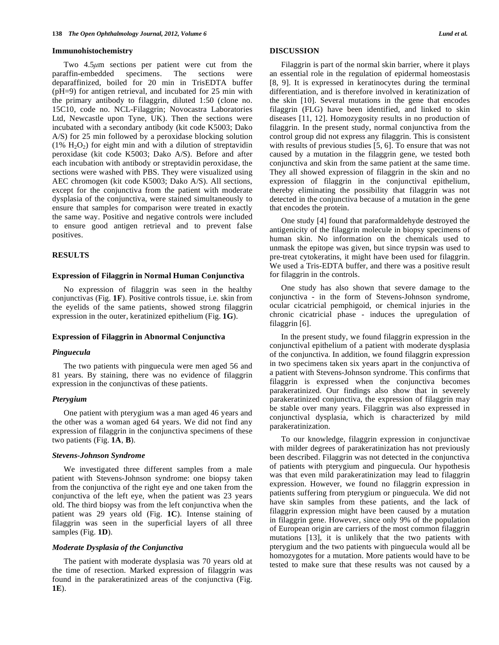#### **Immunohistochemistry**

 Two 4.5*μ*m sections per patient were cut from the paraffin-embedded specimens. The sections were deparaffinized, boiled for 20 min in TrisEDTA buffer (pH=9) for antigen retrieval, and incubated for 25 min with the primary antibody to filaggrin, diluted 1:50 (clone no. 15C10, code no. NCL-Filaggrin; Novocastra Laboratories Ltd, Newcastle upon Tyne, UK). Then the sections were incubated with a secondary antibody (kit code K5003; Dako A/S) for 25 min followed by a peroxidase blocking solution  $(1\% H_2O_2)$  for eight min and with a dilution of streptavidin peroxidase (kit code K5003; Dako A/S). Before and after each incubation with antibody or streptavidin peroxidase, the sections were washed with PBS. They were visualized using AEC chromogen (kit code K5003; Dako A/S). All sections, except for the conjunctiva from the patient with moderate dysplasia of the conjunctiva, were stained simultaneously to ensure that samples for comparison were treated in exactly the same way. Positive and negative controls were included to ensure good antigen retrieval and to prevent false positives.

## **RESULTS**

#### **Expression of Filaggrin in Normal Human Conjunctiva**

 No expression of filaggrin was seen in the healthy conjunctivas (Fig. **1F**). Positive controls tissue, i.e. skin from the eyelids of the same patients, showed strong filaggrin expression in the outer, keratinized epithelium (Fig. **1G**).

## **Expression of Filaggrin in Abnormal Conjunctiva**

#### *Pinguecula*

 The two patients with pinguecula were men aged 56 and 81 years. By staining, there was no evidence of filaggrin expression in the conjunctivas of these patients.

#### *Pterygium*

 One patient with pterygium was a man aged 46 years and the other was a woman aged 64 years. We did not find any expression of filaggrin in the conjunctiva specimens of these two patients (Fig. **1A**, **B**).

## *Stevens-Johnson Syndrome*

 We investigated three different samples from a male patient with Stevens-Johnson syndrome: one biopsy taken from the conjunctiva of the right eye and one taken from the conjunctiva of the left eye, when the patient was 23 years old. The third biopsy was from the left conjunctiva when the patient was 29 years old (Fig. **1C**). Intense staining of filaggrin was seen in the superficial layers of all three samples (Fig. **1D**).

# *Moderate Dysplasia of the Conjunctiva*

 The patient with moderate dysplasia was 70 years old at the time of resection. Marked expression of filaggrin was found in the parakeratinized areas of the conjunctiva (Fig. **1E**).

## **DISCUSSION**

 Filaggrin is part of the normal skin barrier, where it plays an essential role in the regulation of epidermal homeostasis [8, 9]. It is expressed in keratinocytes during the terminal differentiation, and is therefore involved in keratinization of the skin [10]. Several mutations in the gene that encodes filaggrin (FLG) have been identified, and linked to skin diseases [11, 12]. Homozygosity results in no production of filaggrin. In the present study, normal conjunctiva from the control group did not express any filaggrin. This is consistent with results of previous studies [5, 6]. To ensure that was not caused by a mutation in the filaggrin gene, we tested both conjunctiva and skin from the same patient at the same time. They all showed expression of filaggrin in the skin and no expression of filaggrin in the conjunctival epithelium, thereby eliminating the possibility that filaggrin was not detected in the conjunctiva because of a mutation in the gene that encodes the protein.

 One study [4] found that paraformaldehyde destroyed the antigenicity of the filaggrin molecule in biopsy specimens of human skin. No information on the chemicals used to unmask the epitope was given, but since trypsin was used to pre-treat cytokeratins, it might have been used for filaggrin. We used a Tris-EDTA buffer, and there was a positive result for filaggrin in the controls.

 One study has also shown that severe damage to the conjunctiva - in the form of Stevens-Johnson syndrome, ocular cicatricial pemphigoid, or chemical injuries in the chronic cicatricial phase - induces the upregulation of filaggrin [6].

 In the present study, we found filaggrin expression in the conjunctival epithelium of a patient with moderate dysplasia of the conjunctiva. In addition, we found filaggrin expression in two specimens taken six years apart in the conjunctiva of a patient with Stevens-Johnson syndrome. This confirms that filaggrin is expressed when the conjunctiva becomes parakeratinized. Our findings also show that in severely parakeratinized conjunctiva, the expression of filaggrin may be stable over many years. Filaggrin was also expressed in conjunctival dysplasia, which is characterized by mild parakeratinization.

 To our knowledge, filaggrin expression in conjunctivae with milder degrees of parakeratinization has not previously been described. Filaggrin was not detected in the conjunctiva of patients with pterygium and pinguecula. Our hypothesis was that even mild parakeratinization may lead to filaggrin expression. However, we found no filaggrin expression in patients suffering from pterygium or pinguecula. We did not have skin samples from these patients, and the lack of filaggrin expression might have been caused by a mutation in filaggrin gene. However, since only 9% of the population of European origin are carriers of the most common filaggrin mutations [13], it is unlikely that the two patients with pterygium and the two patients with pinguecula would all be homozygotes for a mutation. More patients would have to be tested to make sure that these results was not caused by a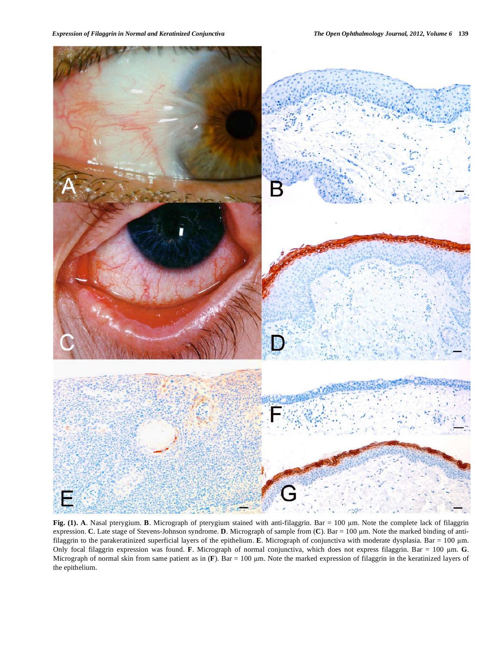

Fig. (1). A. Nasal pterygium. B. Micrograph of pterygium stained with anti-filaggrin. Bar = 100 µm. Note the complete lack of filaggrin expression. **C**. Late stage of Stevens-Johnson syndrome. **D**. Micrograph of sample from (**C**). Bar = 100 µm. Note the marked binding of antifilaggrin to the parakeratinized superficial layers of the epithelium. **E**. Micrograph of conjunctiva with moderate dysplasia. Bar = 100 m. Only focal filaggrin expression was found. **F**. Micrograph of normal conjunctiva, which does not express filaggrin. Bar = 100 m. **G**. Micrograph of normal skin from same patient as in  $(F)$ . Bar = 100  $\mu$ m. Note the marked expression of filaggrin in the keratinized layers of the epithelium.